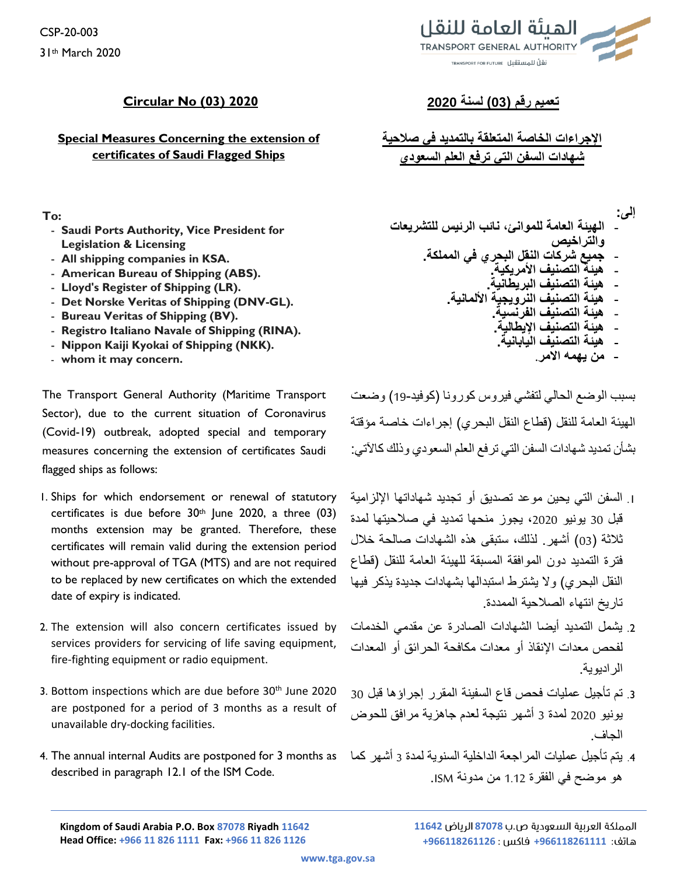## **تعميم رقم )03( لسنة 2020 2020 (03) No Circular**

**Special Measures Concerning the extension of certificates of Saudi Flagged Ships**

## **To:**

- **Saudi Ports Authority, Vice President for Legislation & Licensing**
- **All shipping companies in KSA.**
- **American Bureau of Shipping (ABS).**
- **Lloyd's Register of Shipping (LR).**
- **Det Norske Veritas of Shipping (DNV-GL).**
- **Bureau Veritas of Shipping (BV).**
- **Registro Italiano Navale of Shipping (RINA).**
- **Nippon Kaiji Kyokai of Shipping (NKK).**
- **whom it may concern.**

The Transport General Authority (Maritime Transport Sector), due to the current situation of Coronavirus (Covid-19) outbreak, adopted special and temporary measures concerning the extension of certificates Saudi flagged ships as follows:

- 1. Ships for which endorsement or renewal of statutory certificates is due before 30th June 2020, a three (03) months extension may be granted. Therefore, these certificates will remain valid during the extension period without pre-approval of TGA (MTS) and are not required to be replaced by new certificates on which the extended date of expiry is indicated.
- 2. The extension will also concern certificates issued by services providers for servicing of life saving equipment, fire-fighting equipment or radio equipment.
- 3. Bottom inspections which are due before 30<sup>th</sup> June 2020 are postponed for a period of 3 months as a result of unavailable dry-docking facilities.
- 4. يتم تأجيل عمليات المراجعة الداخلية السنوية لمدة 3 أشهر كما 4. The annual internal Audits are postponed for 3 months as described in paragraph 12.1 of the ISM Code.



**اإلجراءات الخاصة المتعلقة بالتمديد في صالحية شهادات السفن التي ترفع العلم السعودي**

**إلى:** - **الهيئة العامة للموانئ، نائب الرئيس للتشريعات والتراخيص** - **جميع شركات النقل البحري في المملكة.** - **هيئة التصنيف األمريكية.** - **هيئة التصنيف البريطانية.** - هيئة التصنيف النرويجية الألمانية.<br>- هيئة التصنيف الفرنسية - **هيئة التصنيف الفرنسية.** - **هيئة التصنيف اإليطالية.**

- **هيئة التصنيف اليابانية.**
	- **من يهمه االمر.**

بسبب الوضع الحالي لتفشي فيروس كورونا (كوفيد-19) وضعت الهيئة العامة للنقل )قطاع النقل البحري( إجراءات خاصة مؤقتة بشأن تمديد شهادات السفن التي ترفع العلم السعودي وذلك كاآلتي:

- .1 السفن التي يحين موعد تصديق أو تجديد شهاداتها اإللزامية قبل 30 يونيو ،2020 يجوز منحها تمديد في صالحيتها لمدة ثالثة )03( أشهر. لذلك، ستبقى هذه الشهادات صالحة خالل فترة التمديد دون الموافقة المسبقة للهيئة العامة للنقل )قطاع النقل البحري( وال يشترط استبدالها بشهادات جديدة يذكر فيها تاريخ انتهاء الصالحية الممددة .
- .2 يشمل التمديد أيضا الشهادات الصادرة عن مقدمي الخدمات لفحص معدات اإلنقاذ أو معدات مكافحة الحرائق أو المعدات الراديوية.
- .<sup>3</sup> تم تأجيل عمليات فحص قاع السفينة المقرر إجراؤها قبل 30 يونيو 2020 لمدة 3 أشهر نتيجة لعدم جاهزية مرافق للحوض الجاف.
- هو موضح في الفقرة 1.12 من مدونة ISM.